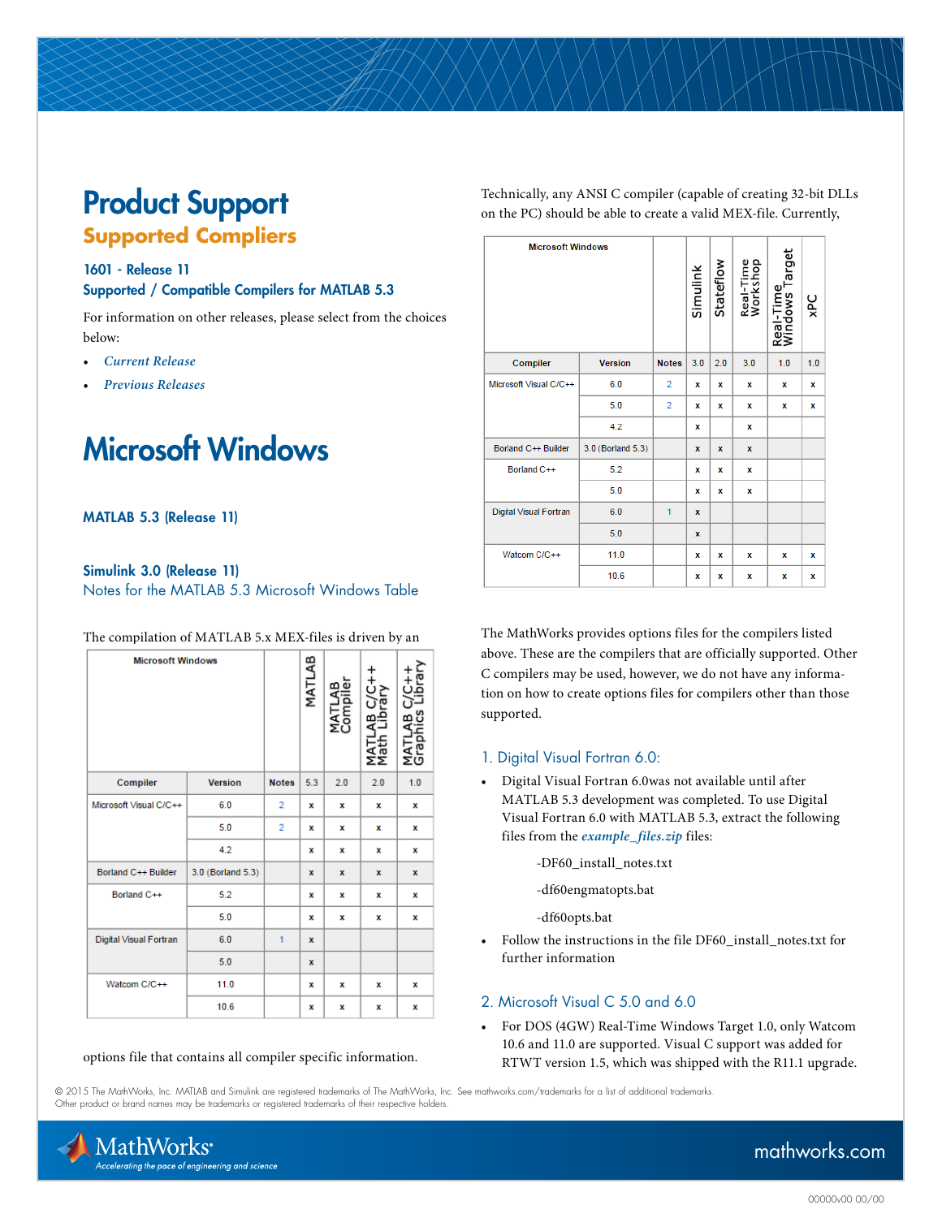# Product Support **Supported Compliers**

#### 1601 - Release 11 Supported / Compatible Compilers for MATLAB 5.3

For information on other releases, please select from the choices below:

- *[Current Release](http://www.mathworks.com/support/compilers/current_release/)*
- *[Previous Releases](http://www.mathworks.com/support/sysreq/previous_releases.html)*

# Microsoft Windows

#### MATLAB 5.3 (Release 11)

#### Simulink 3.0 (Release 11) Notes for the MATLAB 5.3 Microsoft Windows Table

| The compilation of MATLAB 5.x MEX-files is driven by an |  |
|---------------------------------------------------------|--|
|---------------------------------------------------------|--|

| <b>Microsoft Windows</b> |                   |                | MATLAB      | മ<br>MATLA<br>Compi | AB C/C++<br>Library<br>Σ<br>ΣΣ | ≃<br><b>TAT</b><br>Graj |
|--------------------------|-------------------|----------------|-------------|---------------------|--------------------------------|-------------------------|
| Compiler                 | <b>Version</b>    | <b>Notes</b>   | 5.3         | 2.0                 | 2.0                            | 1.0                     |
| Microsoft Visual C/C++   | 6.0               | $\overline{2}$ | x           | x                   | x                              | x                       |
|                          | 5.0               | 2              | x           | x                   | x                              | x                       |
|                          | 4.2               |                | x           | x                   | x                              | x                       |
| Borland C++ Builder      | 3.0 (Borland 5.3) |                | x           | x                   | x                              | x                       |
| Borland C++              | 5.2               |                | x           | x                   | x                              | x                       |
|                          | 5.0               |                | x           | x                   | x                              | x                       |
| Digital Visual Fortran   | 6.0               | 1              | $\mathbf x$ |                     |                                |                         |
|                          | 5.0               |                | $\mathbf x$ |                     |                                |                         |
| Watcom C/C++             | 11.0              |                | x           | x                   | x                              | x                       |
|                          | 10.6              |                | x           | x                   | x                              | x                       |

#### options file that contains all compiler specific information.

Technically, any ANSI C compiler (capable of creating 32-bit DLLs on the PC) should be able to create a valid MEX-file. Currently,

| <b>Microsoft Windows</b> |                   |                | Simulink    | Stateflow   | Real-Time<br>Workshop | Real-Time<br>Windows Target | xPC |
|--------------------------|-------------------|----------------|-------------|-------------|-----------------------|-----------------------------|-----|
| Compiler                 | <b>Version</b>    | <b>Notes</b>   | 3.0         | 2.0         | 3.0                   | 1.0                         | 1.0 |
| Microsoft Visual C/C++   | 6.0               | $\overline{2}$ | x           | x           | x                     | x                           | x   |
|                          | 5.0               | $\overline{2}$ | x           | x           | x                     | x                           | x   |
|                          | 4.2               |                | x           |             | x                     |                             |     |
| Borland C++ Builder      | 3.0 (Borland 5.3) |                | $\mathbf x$ | $\mathbf x$ | x                     |                             |     |
| Borland C++              | 5.2               |                | x           | x           | x                     |                             |     |
|                          | 5.0               |                | x           | x           | x                     |                             |     |
| Digital Visual Fortran   | 6.0               | 1              | $\mathbf x$ |             |                       |                             |     |
|                          | 5.0               |                | $\mathbf x$ |             |                       |                             |     |
| Watcom C/C++             | 11.0              |                | x           | x           | x                     | x                           | x   |
|                          | 10.6              |                | x           | x           | x                     | x                           | x   |

The MathWorks provides options files for the compilers listed above. These are the compilers that are officially supported. Other C compilers may be used, however, we do not have any information on how to create options files for compilers other than those supported.

#### 1. Digital Visual Fortran 6.0:

- Digital Visual Fortran 6.0was not available until after MATLAB 5.3 development was completed. To use Digital Visual Fortran 6.0 with MATLAB 5.3, extract the following files from the *[example\\_files.zip](http://www.mathworks.com/support/compilers/files/release-11-example-files.zip)* files:
	- -DF60\_install\_notes.txt
	- -df60engmatopts.bat

-df60opts.bat

• Follow the instructions in the file DF60\_install\_notes.txt for further information

#### 2. Microsoft Visual C 5.0 and 6.0

• For DOS (4GW) Real-Time Windows Target 1.0, only Watcom 10.6 and 11.0 are supported. Visual C support was added for RTWT version 1.5, which was shipped with the R11.1 upgrade.

© 2015 The MathWorks, Inc. MATLAB and Simulink are registered trademarks of The MathWorks, Inc. See [mathworks.com/trademarks](http://www.mathworks.com/trademarks) for a list of additional trademarks. Other product or brand names may be trademarks or registered trademarks of their respective holders.



## [mathworks.com](http://www.mathworks.com)